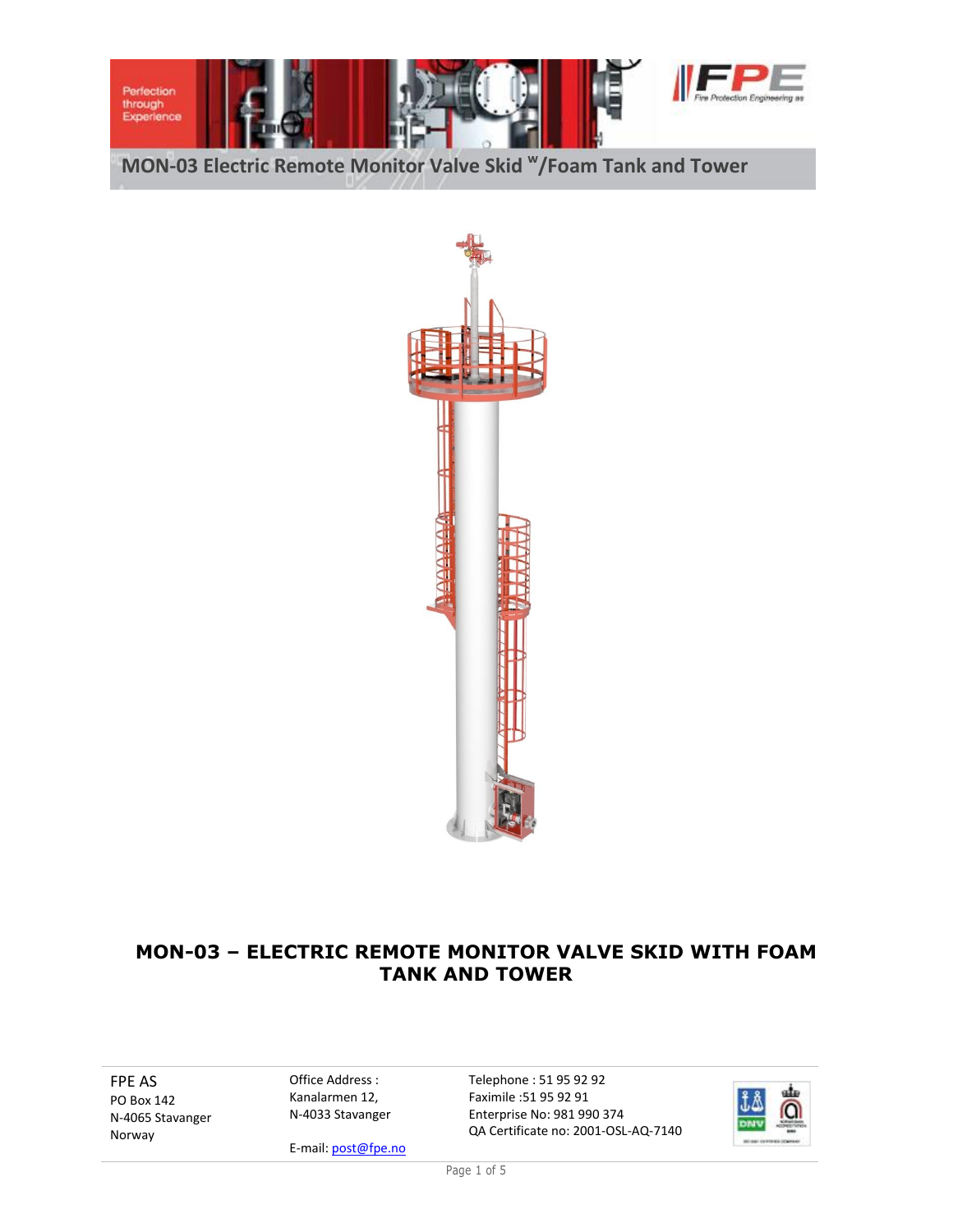



# **MON-03 – ELECTRIC REMOTE MONITOR VALVE SKID WITH FOAM TANK AND TOWER**

FPE AS PO Box 142 N-4065 Stavanger Norway

Office Address : Kanalarmen 12, N-4033 Stavanger

E-mail: post@fpe.no

Telephone : 51 95 92 92 Faximile :51 95 92 91 Enterprise No: 981 990 374 QA Certificate no: 2001-OSL-AQ-7140



Page 1 of 5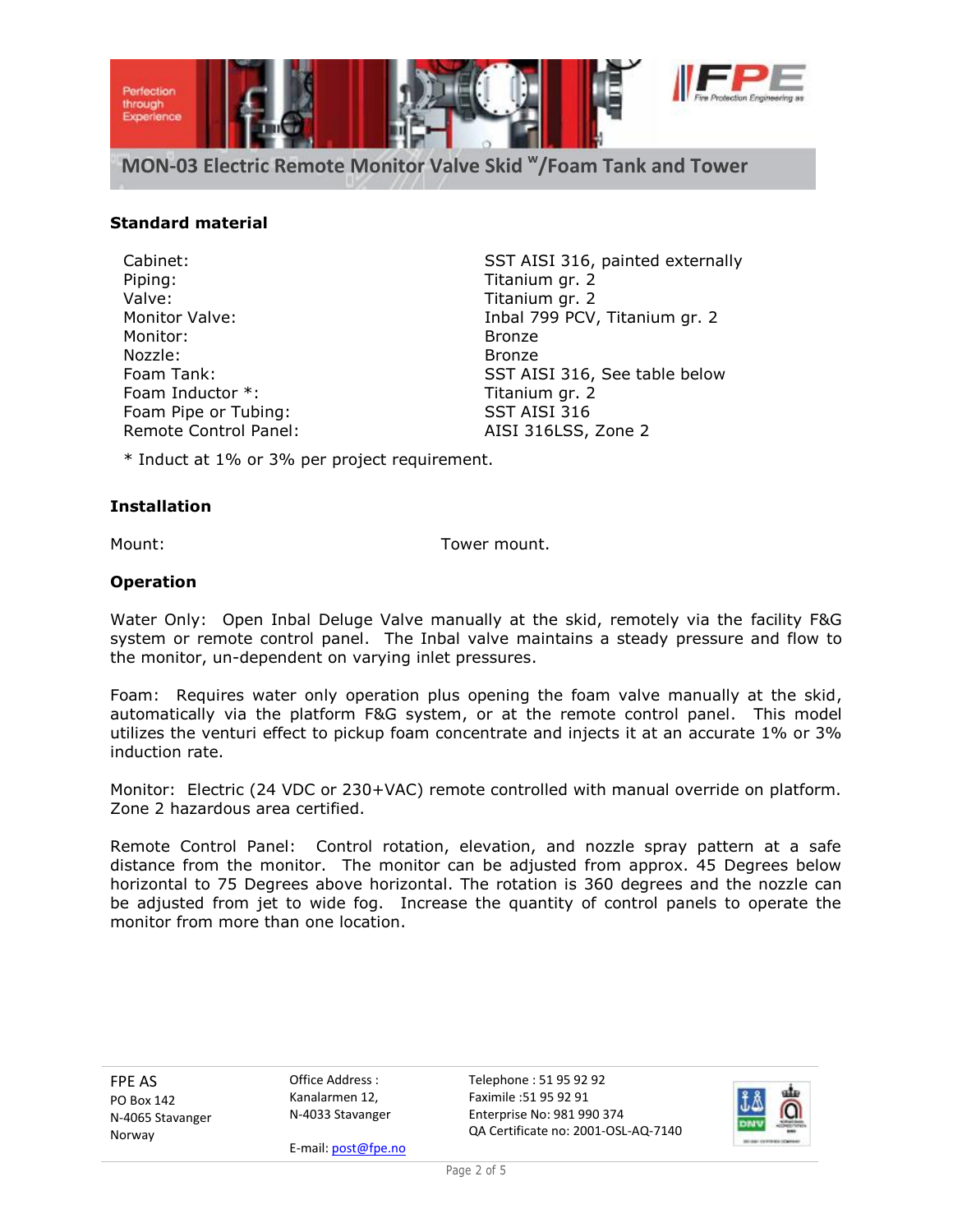

### **Standard material**

Piping: Titanium gr. 2 Valve: Valve: Titanium gr. 2 Monitor: Bronze Nozzle: Bronze Foam Inductor \*: Titanium gr. 2 Foam Pipe or Tubing: SST AISI 316 Remote Control Panel: AISI 316LSS, Zone 2

Cabinet: SST AISI 316, painted externally Monitor Valve: Inbal 799 PCV, Titanium gr. 2 Foam Tank: SST AISI 316, See table below

\* Induct at 1% or 3% per project requirement.

#### **Installation**

Mount: Tower mount.

#### **Operation**

Water Only: Open Inbal Deluge Valve manually at the skid, remotely via the facility F&G system or remote control panel. The Inbal valve maintains a steady pressure and flow to the monitor, un-dependent on varying inlet pressures.

Foam: Requires water only operation plus opening the foam valve manually at the skid, automatically via the platform F&G system, or at the remote control panel. This model utilizes the venturi effect to pickup foam concentrate and injects it at an accurate 1% or 3% induction rate.

Monitor: Electric (24 VDC or 230+VAC) remote controlled with manual override on platform. Zone 2 hazardous area certified.

Remote Control Panel: Control rotation, elevation, and nozzle spray pattern at a safe distance from the monitor. The monitor can be adjusted from approx. 45 Degrees below horizontal to 75 Degrees above horizontal. The rotation is 360 degrees and the nozzle can be adjusted from jet to wide fog. Increase the quantity of control panels to operate the monitor from more than one location.

FPE AS PO Box 142 N-4065 Stavanger Norway

Office Address : Kanalarmen 12, N-4033 Stavanger

E-mail: post@fpe.no

Telephone : 51 95 92 92 Faximile :51 95 92 91 Enterprise No: 981 990 374 QA Certificate no: 2001-OSL-AQ-7140

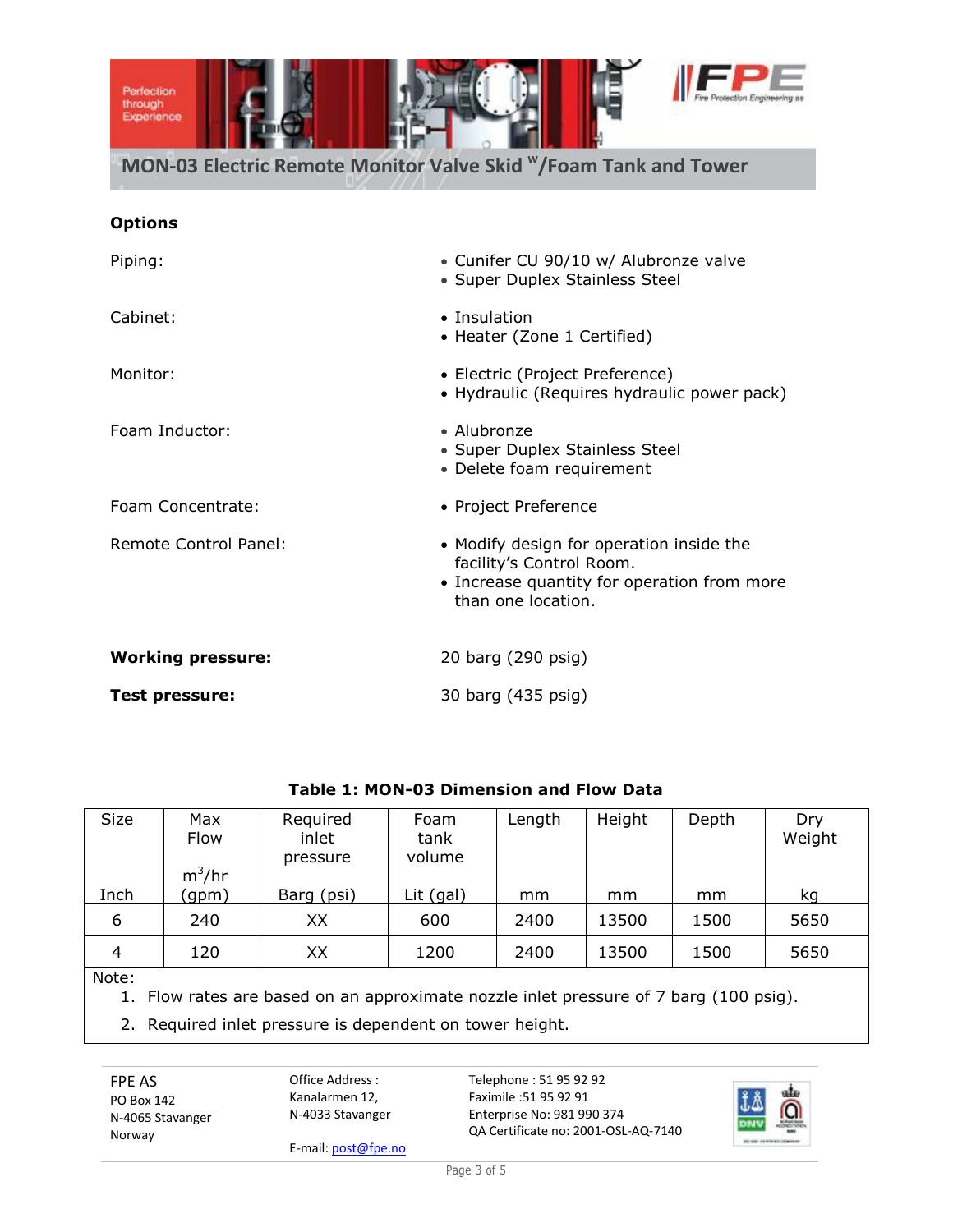

## **Options**

| Piping:                  | • Cunifer CU 90/10 w/ Alubronze valve<br>• Super Duplex Stainless Steel                                                                   |  |  |  |
|--------------------------|-------------------------------------------------------------------------------------------------------------------------------------------|--|--|--|
| Cabinet:                 | • Insulation<br>• Heater (Zone 1 Certified)                                                                                               |  |  |  |
| Monitor:                 | • Electric (Project Preference)<br>• Hydraulic (Requires hydraulic power pack)                                                            |  |  |  |
| Foam Inductor:           | • Alubronze<br>• Super Duplex Stainless Steel<br>• Delete foam requirement                                                                |  |  |  |
| Foam Concentrate:        | • Project Preference                                                                                                                      |  |  |  |
| Remote Control Panel:    | • Modify design for operation inside the<br>facility's Control Room.<br>• Increase quantity for operation from more<br>than one location. |  |  |  |
| <b>Working pressure:</b> | 20 barg (290 psig)                                                                                                                        |  |  |  |
| <b>Test pressure:</b>    | 30 barg (435 psig)                                                                                                                        |  |  |  |

| <b>Size</b>    | Max<br>Flow<br>$m^3/hr$ | Required<br>inlet<br>pressure | Foam<br>tank<br>volume | Length | Height | Depth | Dry<br>Weight |  |
|----------------|-------------------------|-------------------------------|------------------------|--------|--------|-------|---------------|--|
| Inch           | (gpm)                   | Barg (psi)                    | Lit (gal)              | mm     | mm     | mm    | kq            |  |
| 6              | 240                     | XХ                            | 600                    | 2400   | 13500  | 1500  | 5650          |  |
| $\overline{4}$ | 120                     | XX                            | 1200                   | 2400   | 13500  | 1500  | 5650          |  |
|                |                         |                               |                        |        |        |       |               |  |

# **Table 1: MON-03 Dimension and Flow Data**

Note:

1. Flow rates are based on an approximate nozzle inlet pressure of 7 barg (100 psig).

2. Required inlet pressure is dependent on tower height.

FPE AS PO Box 142 N-4065 Stavanger Norway

Office Address : Kanalarmen 12, N-4033 Stavanger

E-mail: post@fpe.no

Telephone : 51 95 92 92 Faximile :51 95 92 91 Enterprise No: 981 990 374 QA Certificate no: 2001-OSL-AQ-7140

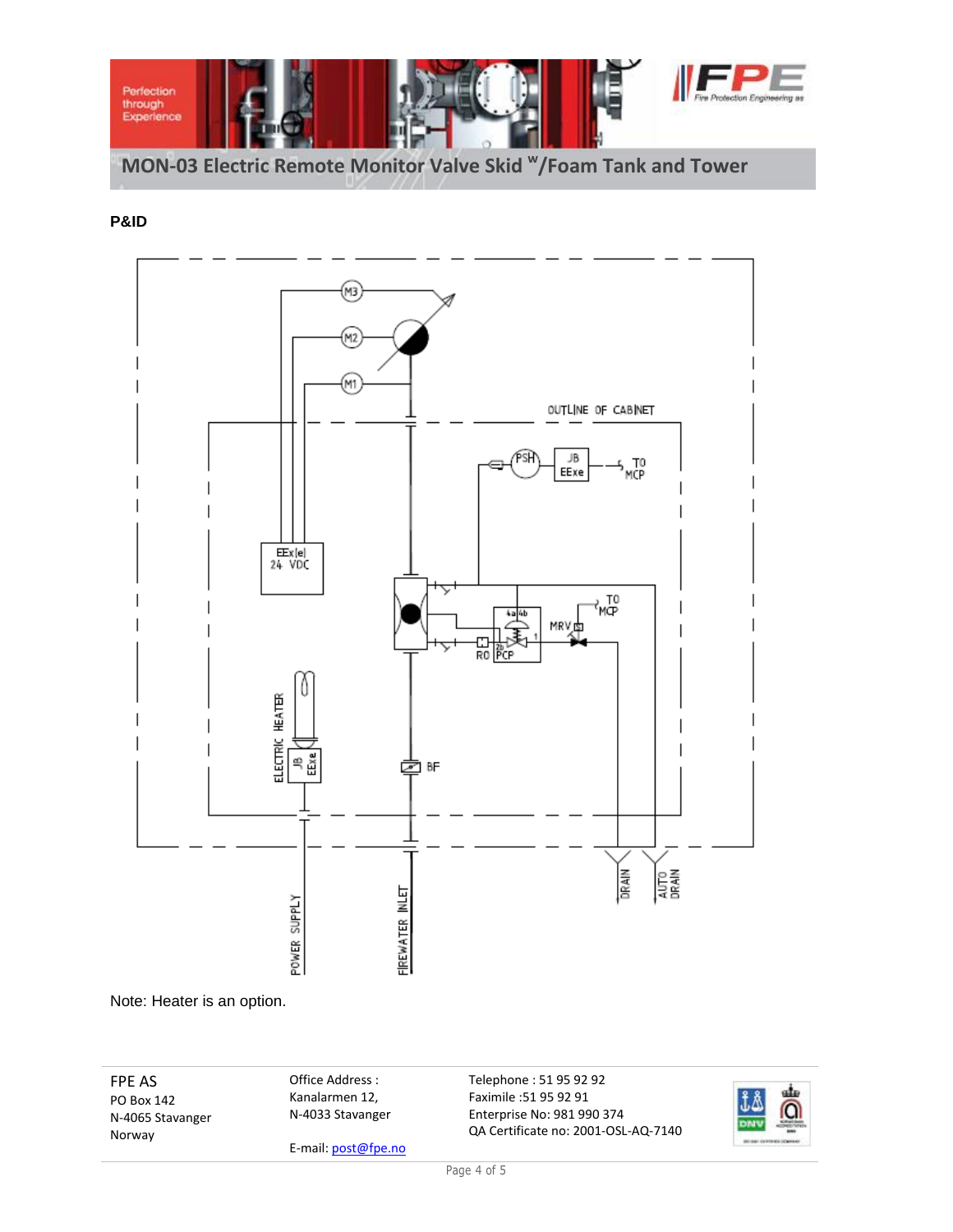

# **P&ID**



Note: Heater is an option.

FPE AS PO Box 142 N-4065 Stavanger Norway

Office Address : Kanalarmen 12, N-4033 Stavanger

E-mail: post@fpe.no

Telephone : 51 95 92 92 Faximile :51 95 92 91 Enterprise No: 981 990 374 QA Certificate no: 2001-OSL-AQ-7140